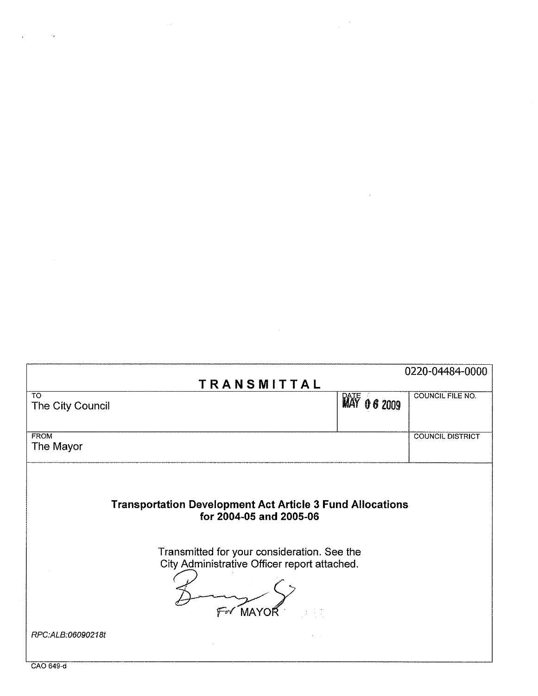|                                                                                                                                                                                            |                        | 0220-04484-0000         |
|--------------------------------------------------------------------------------------------------------------------------------------------------------------------------------------------|------------------------|-------------------------|
| TRANSMITTAL                                                                                                                                                                                |                        |                         |
| <b>TO</b><br>The City Council                                                                                                                                                              | <b>RATE</b><br>06 2009 | <b>COUNCIL FILE NO.</b> |
| <b>FROM</b><br>The Mayor                                                                                                                                                                   |                        | <b>COUNCIL DISTRICT</b> |
| <b>Transportation Development Act Article 3 Fund Allocations</b><br>for 2004-05 and 2005-06<br>Transmitted for your consideration. See the<br>City Administrative Officer report attached. |                        |                         |
| For MAYOR<br>5.40%<br>RPC:ALB:06090218t                                                                                                                                                    |                        |                         |
|                                                                                                                                                                                            |                        |                         |

 $\frac{1}{2} \frac{1}{2} \frac{d^2}{dt^2}$ 

 $\label{eq:2.1} \frac{1}{\sqrt{2}}\left(\frac{1}{\sqrt{2}}\right)^{2} \left(\frac{1}{\sqrt{2}}\right)^{2} \left(\frac{1}{\sqrt{2}}\right)^{2} \left(\frac{1}{\sqrt{2}}\right)^{2} \left(\frac{1}{\sqrt{2}}\right)^{2} \left(\frac{1}{\sqrt{2}}\right)^{2} \left(\frac{1}{\sqrt{2}}\right)^{2} \left(\frac{1}{\sqrt{2}}\right)^{2} \left(\frac{1}{\sqrt{2}}\right)^{2} \left(\frac{1}{\sqrt{2}}\right)^{2} \left(\frac{1}{\sqrt{2}}\right)^{2} \left(\$ 

 $\mathcal{A}^{\mathcal{A}}$ 

CAO 649-d

 $\sim$   $\sim$ 

 $\ddot{\phantom{a}}$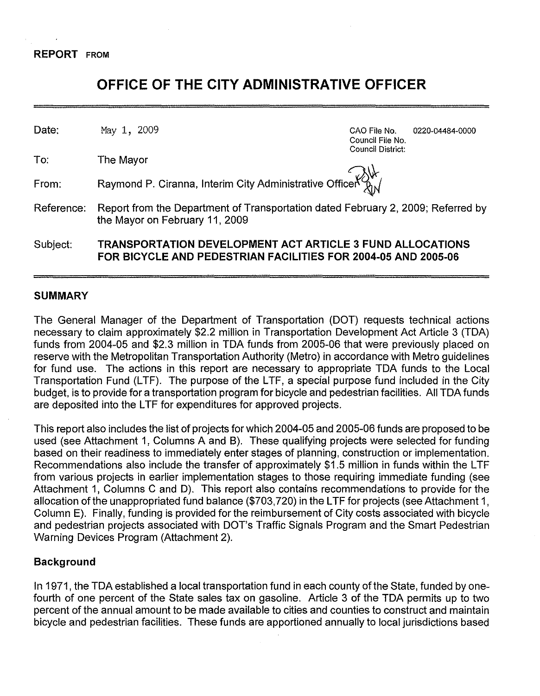# **OFFICE OF THE CITY ADMINISTRATIVE OFFICER**

Date: May 1, 2009 CAO File No. 0220-04484-0000

To: The Mayor

Council File No. Council District:

From: Raymond P. Ciranna, Interim City Administrative Officer

Reference: Report from the Department of Transportation dated February 2, 2009; Referred by the Mayor on February 11, 2009

Subject: **TRANSPORTATION DEVELOPMENT** ACT **ARTICLE 3 FUND ALLOCATIONS FOR BICYCLE AND PEDESTRIAN FACILITIES FOR 2004-05 AND 2005-06**

## **SUMMARY**

The General Manager of the Department of Transportation (DOT) requests technical actions necessary to claim approximately \$2.2 million in Transportation Development Act Article 3 (TDA) funds from 2004-05 and \$2.3 million in TDA funds from 2005-06 that were previously placed on reserve with the Metropolitan Transportation Authority (Metro) in accordance with Metro guidelines for fund use. The actions in this report are necessary to appropriate TDA funds to the Local Transportation Fund (LTF). The purpose of the LTF, a special purpose fund included in the City budget, is to provide for a transportation program for bicycle and pedestrian facilities. All TDA funds are deposited into the LTF for expenditures for approved projects.

This report also includes the list of projects for which 2004-05 and 2005-06 funds are proposed to be used (see Attachment 1, Columns A and 8). These qualifying projects were selected for funding based on their readiness to immediately enter stages of planning, construction or implementation. Recommendations also include the transfer of approximately \$1.5 million in funds within the LTF from various projects in earlier implementation stages to those requiring immediate funding (see Attachment 1, Columns C and D). This report also contains recommendations to provide for the allocation of the unappropriated fund balance (\$703,720) in the LTF for projects (see Attachment 1, Column E). Finally, funding is provided for the reimbursement of City costs associated with bicycle and pedestrian projects associated with DOT's Traffic Signals Program and the Smart Pedestrian Warning Devices Program (Attachment 2).

## **Background**

In 1971, the TDA established a local transportation fund in each county of the State, funded by onefourth of one percent of the State sales tax on gasoline. Article 3 of the TDA permits up to two percent of the annual amount to be made available to cities and counties to construct and maintain bicycle and pedestrian facilities. These funds are apportioned annually to local jurisdictions based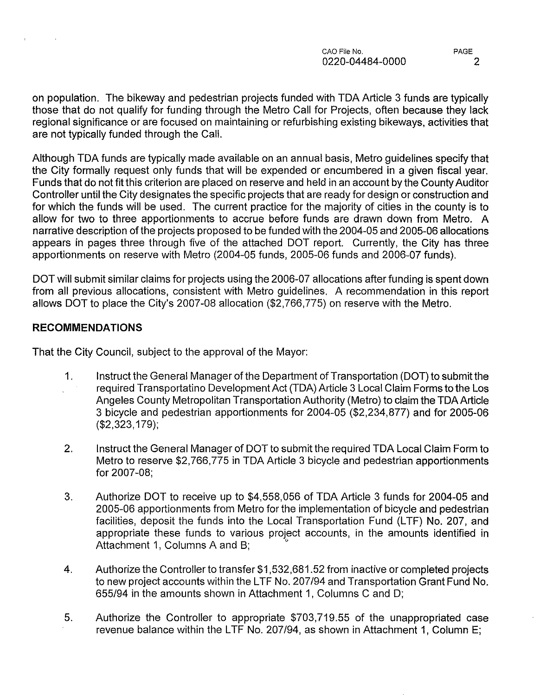on population. The bikeway and pedestrian projects funded with TDA Article 3 funds are typically those that do not qualify for funding through the Metro Call for Projects, often because they lack regional significance or are focused on maintaining or refurbishing existing bikeways, activities that are not typically funded through the Call.

Although TDA funds are typically made available on an annual basis, Metro guidelines specify that the City formally request only funds that will be expended or encumbered in a given fiscal year. Funds that do not fit this criterion are placed on reserve and held in an account by the County Auditor Controller until the City designates the specific projects that are ready for design or construction and for which the funds will be used. The current practice for the majority of cities in the county is to allow for two to three apportionments to accrue before funds are drawn down from Metro. A narrative description of the projects proposed to be funded with the 2004-05 and 2005-06 allocations appears in pages three through five of the attached DOT report. Currently, the City has three apportionments on reserve with Metro (2004-05 funds, 2005-06 funds and 2006-07 funds).

DOT will submit similar claims for projects using the 2006-07 allocations after funding is spent down from all previous allocations, consistent with Metro guidelines. A recommendation in this report allows DOT to place the City's 2007-08 allocation (\$2,766,775) on reserve with the Metro.

## **RECOMMENDATIONS**

That the City Council, subject to the approval of the Mayor:

- 1. Instruct the General Manager of the Department of Transportation (DOT) to submit the required Transportatino Development Act (TDA) Article 3 Local Claim Forms to the Los Angeles County Metropolitan Transportation Authority (Metro) to claim the TDA Article 3 bicycle and pedestrian apportionments for 2004-05 (\$2,234,877) and for 2005-06 (\$2,323,179);
- 2. Instruct the General Manager of DOT to submit the required TDA Local Claim Form to Metro to reserve \$2,766,775 in TDA Article 3 bicycle and pedestrian apportionments for 2007-08;
- 3. Authorize DOT to receive up to \$4,558,056 of TDA Article 3 funds for 2004-05 and 2005-06 apportionments from Metro for the implementation of bicycle and pedestrian facilities, deposit the funds into the Local Transportation Fund (LTF) No. 207, and appropriate these funds to various project accounts, in the amounts identified in Attachment 1, Columns A and B;
- 4. Authorize the Controller to transfer \$1 ,532,681.52 from inactive or completed projects to new project accounts within the LTF No. *207/94* and Transportation Grant Fund No. *655/94* in the amounts shown in Attachment 1, Columns C and D;
- 5. Authorize the Controller to appropriate \$703,719.55 of the unappropriated case revenue balance within the LTF No. *207/94,* as shown in Attachment 1, Column E;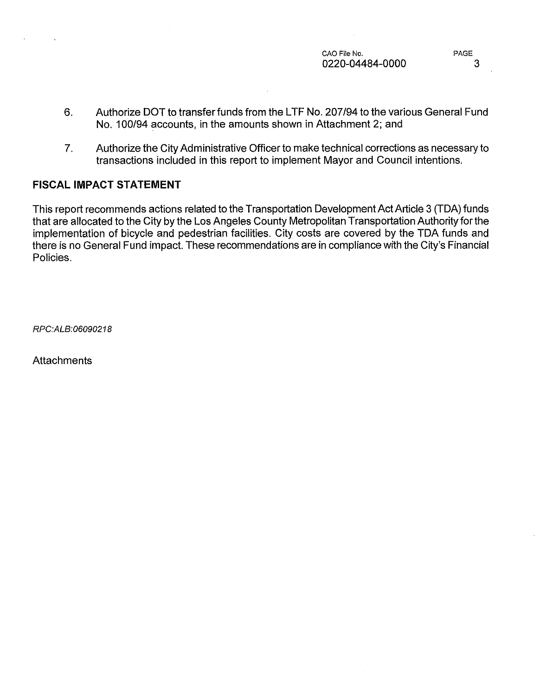- 6. Authorize DOT to transfer funds from the LTF No. 207/94 to the various General Fund No. 100/94 accounts, in the amounts shown in Attachment 2; and
- 7. Authorize the City Administrative Officer to make technical corrections as necessary to transactions included in this report to implement Mayor and Council intentions.

## **FISCAL IMPACT STATEMENT**

This report recommends actions related to the Transportation Development Act Article 3 (TDA) funds that are allocated to the City by the Los Angeles County Metropolitan Transportation Authority for the implementation of bicycle and pedestrian facilities. City costs are covered by the TDA funds and there is no General Fund impact. These recommendations are in compliance with the City's Financial Policies.

*RPC:ALB:06090218*

**Attachments**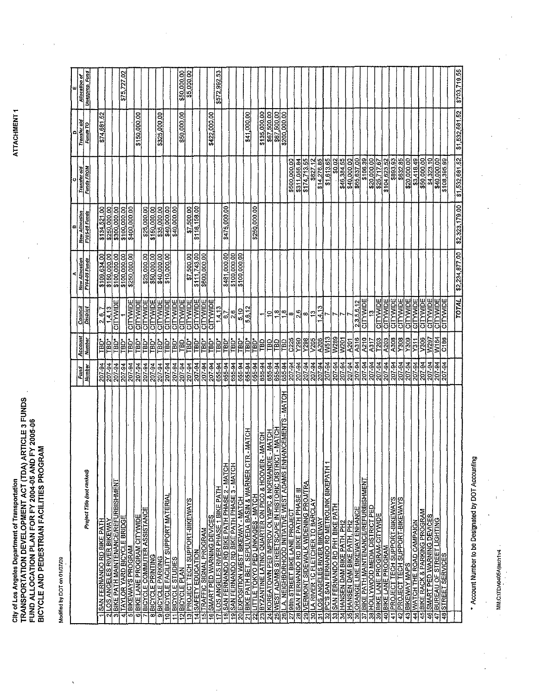ATTACHMENT 1

City of Los Angeles Department of Transportation<br>TRANSPORTATION DEVELOPMENT ACT (TDA) ARTICLE 3 FUNDS<br>FUND ALLOCATION PLAN FOR FY 2004-05 AND FY 2005-06<br>BICYCLE AND PEDESTRIAN FACILITIES PROGRAM

Madified by DOT on 01/07/09

|                                                                                                                                            |                  |                                 |                             |                                   | œ                           |                            |                             | ш                     |
|--------------------------------------------------------------------------------------------------------------------------------------------|------------------|---------------------------------|-----------------------------|-----------------------------------|-----------------------------|----------------------------|-----------------------------|-----------------------|
|                                                                                                                                            | Fund             | Account                         | Council                     | <b>New Allocation</b>             | New Allocation              | Transfer old               | Transfer old                | Allocation of         |
| Project Title (not ranked)                                                                                                                 | <b>Numbar</b>    | Number                          | District                    | FY04-05 Funds                     | <b>FY05-06 Funds</b>        | <b>Funas FROM</b>          | Funds TO                    | <b>Unapprop.</b> Fund |
| <b>SAN FERNANDO RD BIKE PATH</b>                                                                                                           | 207-94           | 흽                               | $\frac{2.6.7}{ }$           |                                   | \$134,521.00                |                            | \$74,681.52                 |                       |
| LOS ANGELES RIVER BIKEWAY<br>N                                                                                                             | 207-94           | TBD*                            | 14, 13                      | \$109,634.00                      | \$250,000.00                |                            |                             |                       |
| <b>BIKE PATH MAINTENANCE/REFURBISHMENT</b><br>ö                                                                                            | 207-94           | TBD*                            | CITYVIDE                    | \$100,000.00                      | \$300,000.00                |                            |                             |                       |
| TAYLOR YARD BICYCLE BRIDGE<br>₹                                                                                                            | 207-94           | TBD*                            |                             | \$100,000,00                      | \$100,000.00                |                            |                             | \$75,727.02           |
| <b>5 BIKEWAYS PROGRAM</b>                                                                                                                  | 207-94           | TBD*                            | CITYVIDE                    | \$250,000.00                      | \$400,000.00                |                            |                             |                       |
| 6 BIKE LANE PROGRAM CITYWIDE                                                                                                               | 207-94           | TBD*<br>TBD*                    | <b>CITYMDE</b>              |                                   |                             |                            | \$150,000.00                |                       |
| 7 BICYCLE COMMUTER ASSISTANCE<br><b>8 BICYCLE PRINTING</b>                                                                                 | 207-94<br>207-94 | ים<br>ופו                       | <b>CITYWIDE</b><br>CITYWIDE | <b>\$25,000.00</b><br>\$50,000.00 | \$25,000.00<br>\$150,000.00 |                            |                             |                       |
| 9 BICYCLE PARKING                                                                                                                          | 207-94           | <b>TBD*</b>                     | CITYWIDE                    | \$40,000.00                       | \$35,000.00                 |                            | \$325,000.00                |                       |
| 10 BICYCLE FACILITY SUPPORT MATERIAL                                                                                                       | 207-94           | TBD*                            | CITYVIDE                    | \$10,000.00                       | \$40,000.00                 |                            |                             |                       |
| <b>BICYCLE STUDIES</b><br>Ξ                                                                                                                | 207-94           | TBD*                            | <b>CITYVIDE</b>             |                                   | \$40,000.00                 |                            |                             |                       |
| <b>12 BICYCLE PLAN</b>                                                                                                                     | 207-94           | ទ<br>ក                          | CITYWIDE                    |                                   |                             |                            | \$50,000.00                 | \$50,000.00           |
| <b>PROJECT TECH SUPPORT-BIKEWAYS</b><br>₫                                                                                                  | 207-94           | <b>POTE</b>                     | <b>CITYWIDE</b>             | \$7,500.00                        | \$7,500.00                  |                            |                             | \$5,000.00            |
| SAFETY EDUCATION<br>Ξ<br>Ξ                                                                                                                 | 207-94           | <b>Delta</b><br>TBD*            | CITYVIDE                    | \$111,743.00                      | \$116,158.00                |                            |                             |                       |
| SMART PED WARNING DEVICES<br>TRAFFIC SIGNAL PROGRAM<br>$\overline{1}$                                                                      | 207-94<br>207-94 | i<br>Pla                        | CITYVIDE                    | \$600,000.00                      |                             |                            | \$422,000.00                |                       |
| LOS ANGELES RIVER PHASE 1 BIKE PATH<br>⊵                                                                                                   | 655-94           | TBD*                            | 14.13                       |                                   |                             |                            |                             | \$572,992.53          |
| SAN FERNANDO RD BIKE PATH PHASE 2 - MATCH<br>₽                                                                                             | 655-94           | "TBD"                           | 6.7                         | \$481,000,00                      | \$475,000.00                |                            |                             |                       |
| SAN FERNANDO RD BIKE PATH PHASE 3 - MATCH<br>≘                                                                                             | 655-94           | TBD*                            | $\frac{6}{2}$               | \$100,000.00                      |                             |                            |                             |                       |
| EXPOSITION WEST BIKEWAY - MATCH<br>Ŕ                                                                                                       | 655-94           | TBD*                            | 5,10                        | \$100,000.00                      |                             |                            |                             |                       |
| MATCH<br>BIKE PATH BET. SEPULVEDA BASIN & WARNER CTR.-                                                                                     | 655-94           | TBD*                            | 5,6,12                      |                                   |                             |                            | \$41,000.00                 |                       |
| <b>HOLIGHT - SED MINO PED LINKAGES</b>                                                                                                     | 655-94           | ГBD*                            |                             |                                   | \$250,000.00                |                            |                             |                       |
| MATCH<br><b>ATCH</b><br><b>BYZANTINE LATINO QUARTER ON PICO &amp; HOOVER - M</b><br>KOREATOWN PED IMPROV OLYMPIC & NORMANDIE<br>हिं<br>ब्र | 655-94<br>655-94 | TBD                             | $\ddot{ }$                  |                                   |                             |                            | \$135,000.00<br>\$67,500.00 |                       |
| <b>HOILW</b><br>WEST ADAMS STREETSCAPE IN HISTORIC DISTRICT<br>្ត                                                                          | 655-94           | 晶                               | 옠                           |                                   |                             |                            | \$67,500.00                 |                       |
| - MATCH<br><b>NCEMENTS</b><br>L.A. NEIGHBORHOOD INITIATIVE WEST ADAMS ENHAI<br>8                                                           | 655-94           | 闾                               | ထ္                          |                                   |                             |                            | \$200,000.00                |                       |
| 27 J98th STREET BIKE LANE PROJECT<br>28 JSAN FERMANDO RD BIKE PATH PHASE III<br>29 VERMONT SIDEWALK WIDENING PROJITRA                      | 207-94           | $rac{3}{2}$                     | œ                           |                                   |                             | \$500,000.00               |                             |                       |
|                                                                                                                                            | 207-94           | <u>1298</u>                     | $\frac{6}{2}$               |                                   |                             | \$311,056.84               |                             |                       |
|                                                                                                                                            | 207-94           |                                 | ယ                           |                                   |                             | \$174,713.55               |                             |                       |
| LA RIVER 1C FLETCHER TO BARCLAY<br>ਫ਼                                                                                                      | 207-94           | <b>A206</b><br>V <sub>205</sub> | P                           |                                   |                             | 12<br>5827                 |                             |                       |
| PC'S SAN FERNANDO RD METROLINK BIKEPATH<br>LOS ANGELES RIVER BIKEWAY<br>न्नल                                                               | 207-94<br>207-94 | W513                            | 1.4.13                      |                                   |                             | \$14,276.85<br>\$1,613.65  |                             |                       |
| SAN FERNANDO RD PH1 BIKE PATH<br>इन्नि                                                                                                     | 207-94           | W289                            |                             |                                   |                             | \$0.02                     |                             |                       |
| HANSEN DAM BIKE PATH, PH2                                                                                                                  | 207-94           | W201                            |                             |                                   |                             | \$46,384.55                |                             |                       |
| HANSEN DAM BIKE PATH, PH2<br>$\overline{35}$                                                                                               | 207-94           | <b>A201</b>                     |                             |                                   |                             | \$40,000.00                |                             |                       |
| ORANGE LINE BIKEWAY ENHANCE<br>ସ<br>।ह                                                                                                     | 207-94           | A316                            | 2,3,5,6,12                  |                                   |                             | \$65,637.00                |                             |                       |
| BIKE PATH MAINTENANCE/REFURBISHMENT                                                                                                        | 207-94<br>207-94 | A210<br>$\overline{317}$        | CITYWIDE                    |                                   |                             | \$166.39                   |                             |                       |
| 38 HOLLYWOOD MEDIA DISTRICT PED<br><b>SOIBIKE LANE PROGRAM-CITYWIDE</b>                                                                    | $207 - 94$       | T <sub>203</sub>                | CITYVIDE                    |                                   |                             | \$20,000.00<br>\$25,717.67 |                             |                       |
| 40 BIKE LANE PROGRAM                                                                                                                       | 207-94           | A203                            | CITYWIDE                    |                                   |                             | \$104,623.52               |                             |                       |
| <b>PROJECT TECH SUPPORT-BIKEWAYS</b><br>4                                                                                                  | 207-94           | A308                            | CITYVIDE                    |                                   |                             | \$893.93                   |                             |                       |
| PROJECT TECH SUPPORT-BIKEWAYS<br>य्                                                                                                        | 207-94           | Y308                            | CITYWIDE                    |                                   |                             | \$632.85                   |                             |                       |
| 43 BIKEWAY MAPS                                                                                                                            | 207-94           | Y309                            | <b>CITYVIDE</b>             |                                   |                             | \$20,000.00                |                             |                       |
| 44 WATCH THE ROAD CAMPAIGN                                                                                                                 | 207-94           | $\frac{1}{2}$                   | <b>CITYWIDE</b>             |                                   |                             | \$3,418.49                 |                             |                       |
| <b>BIKE RACK &amp; PARKING PROGRAM</b><br>ত্ৰ                                                                                              | 207-94           | V306                            | CITYWIDE                    |                                   |                             | \$50,000.00                |                             |                       |
| SMART PED WARNING DEVICES<br><u>ৱ</u>                                                                                                      | 207-94           | VP97                            | CITYWDE                     |                                   |                             | \$4,323.10                 |                             |                       |
| BUREAU OF STREET LIGHTING<br>5                                                                                                             | 207-94           | W184                            |                             |                                   |                             | \$40,000.00                |                             |                       |
| <b>STREET SERVICES</b><br>$\overline{\overline{3}}$                                                                                        | 207-94           | C186                            |                             |                                   |                             | \$108,395.99               |                             |                       |
|                                                                                                                                            |                  |                                 | TOTAL                       | \$2,234,877.00                    | \$2,323,179.00              | \$1,532,681.52             | \$1,532,681.52              | \$703,719.55          |
|                                                                                                                                            |                  |                                 |                             |                                   |                             |                            |                             |                       |

Account Number to be Designated by DOT Accounting

MMCTTDA0405Attach1v4

 $\bar{z}$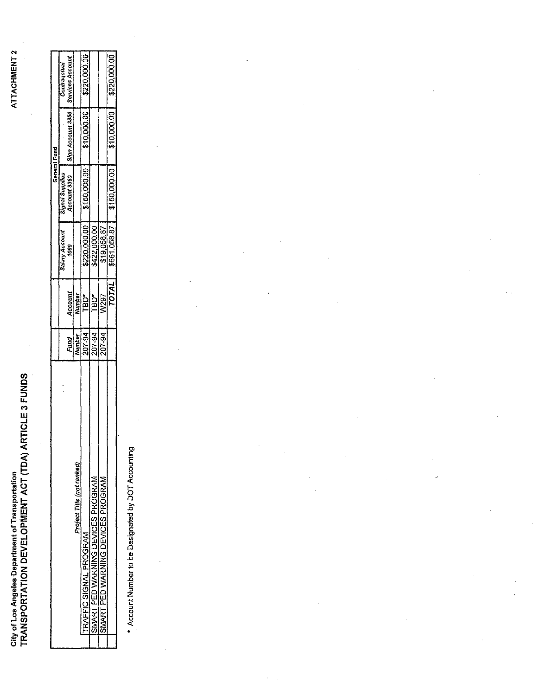City of Los Angeles Department of Transportation<br>TRANSPORTATION DEVELOPMENT ACT (TDA) ARTICLE 3 FUNDS

|                                   |        |              |                       | <b>General Fund</b> |                                  |                  |
|-----------------------------------|--------|--------------|-----------------------|---------------------|----------------------------------|------------------|
|                                   |        |              | <b>Salary Account</b> | Signal Supplies     |                                  | Contragctual     |
|                                   | Fund   | Account      | 1090                  |                     | Account 3360   Sign Account 3350 | Services Account |
| Project Title (not ranked)        | Number | Number       |                       |                     |                                  |                  |
| <b>TRAFFIC SIGNAL PROGRAM</b>     | 207-94 | "BD*         | \$220,000.00          | \$150,000.00        | \$10,000.00                      | \$220,000.00     |
| SMART PED WARNING DEVICES PROGRAM | 207-94 | <b>TBD*</b>  | 8422,000.00           |                     |                                  |                  |
| SMART PED WARNING DEVICES PROGRAM | 207-94 | <b>N/297</b> | \$19,058.87           |                     |                                  |                  |
|                                   |        | <b>TOTAL</b> | \$661,058.87          | \$150,000.00        | \$10,000.00                      | \$220,000.00     |
|                                   |        |              |                       |                     |                                  |                  |

\* Account Number to be Designated by DOT Accounting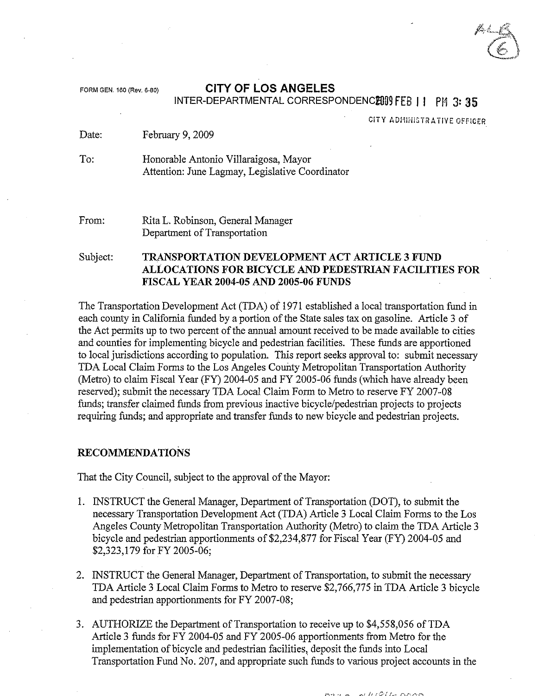## FORM GEN. <sup>160</sup> (Rev. 6.BO) **CITY OF LOS ANGELES**

## INTER-DEPARTMENTAL CORRESPONDENC**EOS FEB II** PM 3:35

**CITY ADHINISTRATIVE OFFICER** 

Date: February 9, 2009

To: Honorable Antonio Villaraigosa, Mayor Attention: June Lagmay, Legislative Coordinator

From: Rita L. Robinson, General Manager Department of Transportation

Subject: **TRANSPORTATION DEVELOPMENT** ACT **ARTICLE 3 FUND ALLOCATIONS FOR BICYCLE AND PEDESTRIAN FACILITIES FOR FISCAL YEAR 2004-05 AND 2005-06 FUNDS**

The Transportation Development Act (TDA) of 1971 established a local transportation fund in each county in California funded by a portion of the State sales tax on gasoline. Article 3 of the Act permits up to two percent of the annual amount received to be made available to cities and counties for implementing bicycle and pedestrian facilities. These funds are apportioned to local jurisdictions according to population. This report seeks approval to: submit necessary TDA Local Claim Forms to the Los Angeles County Metropolitan Transportation Authority (Metro) to claim Fiscal Year (FY) 2004-05 and FY 2005-06 funds (which have already been reserved); submit the necessary TDA Local Claim Form to Metro to reserve FY 2007-08 funds; transfer claimed funds from previous inactive bicycle/pedestrian projects to projects requiring funds; and appropriate and transfer funds to new bicycle and pedestrian projects.

#### **RECOMMENDATIONS**

That the City Council, subject to the approval of the Mayor:

- I. INSTRUCT the General Manager, Department of Transportation (DOT), to submit the necessary Transportation Development Act (TDA) Article 3 Local Claim Forms to the Los Angeles County Metropolitan Transportation Authority (Metro) to claim the TDA Article 3 bicycle and pedestrian apportiomnents of \$2,234,877 for Fiscal Year (FY) 2004-05 and \$2,323,179 for FY 2005-06;
- 2. INSTRUCT the General Manager, Department of Transportation, to submit the necessary TDA Article 3 Local Claim Forms to Metro to reserve \$2,766,775 in TDA Article 3 bicycle and pedestrian apportiomnents for FY 2007-08;
- 3. AUTHORIZE the Department of Transportation to receive up to \$4,558,056 ofTDA Article 3 funds for FY 2004-05 and FY 2005-06 apportiomnents from Metro for the implementation of bicycle and pedestrian facilities, deposit the funds into Local Transportation Fund No. 207, and appropriate such funds to various project accounts in the

ni HIGUN DAM  $10.22 \times 10^{-1}$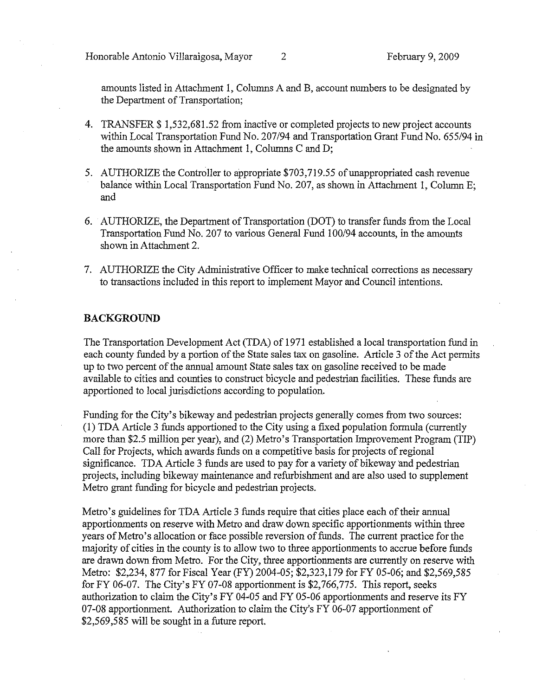Honorable Antonio Villaraigosa, Mayor 2 71 February 9, 2009

amounts listed in Attachment 1, Columns A and B, account numbers to be designated by the Department of Transportation;

- 4. TRANSFER \$ 1,532,681.52 from inactive or completed projects to new project accounts within Local Transportation Fund No. *207/94* and Transportation Grant Fund No. *655194* in the amounts shown in Attachment 1, Columns C and D;
- 5. AUTHORIZE the Controller to appropriate \$703,719.55 of unappropriated cash revenue balance within Local Transportation Fund No. 207, as shown in Attachment 1, Column E; and
- 6. AUTHORIZE, the Department of Transportation (DOT) to transfer funds from the Local Transportation Fund No. 207 to various General Fund *100194* accounts, in the amounts shown in Attachment 2.
- 7. AUTHORIZE the City Administrative Officer to make technical corrections as necessary to transactions included in this report to implement Mayor and Council intentions.

### **BACKGROUND**

The Transportation Development Act (TDA) of 1971 established a local transportation fund in each county funded by a portion of the State sales tax on gasoline. Article 3 of the Act permits up to two percent of the annual amount State sales tax on gasoline received to be made available to cities and counties to construct bicycle and pedestrian facilities. These funds are apportioned to local jurisdictions according to population.

Funding for the City's bikeway and pedestrian projects generally comes from two sources: (l) TDA Article 3 funds apportioned to the City using a fixed population formula (currently more than \$2.5 million per year), and (2) Metro's Transportation Improvement Program (TIP) Call for Projects, which awards funds on a competitive basis for projects of regional significance. TDA Article 3 funds are used to pay for a variety of bikeway and pedestrian projects, including bikeway maintenance and refurbishment and are also used to supplement Metro grant funding for bicycle and pedestrian projects.

Metro's guidelines for TDA Article 3 funds require that cities place each of their annual apportionments on reserve with Metro and draw down specific apportionments within three years of Metro's allocation or face possible reversion of funds. The current practice for the majority of cities in the county is to allow two to three apportionments to accrue before funds are drawn down from Metro. For the City, three apportionments are currently on reserve with Metro: \$2,234,877 for Fiscal Year (FY) 2004-05; \$2,323,179 for FY 05-06; and \$2,569,585 for FY 06-07. The City's FY 07-08 apportionment is \$2,766,775. This report, seeks authorization to claim the City's FY 04·05 and FY 05-06 apportionments and reserve its FY 07-08 apportionment. Authorization to claim the City's FY 06-07 apportionment of \$2,569,585 will be sought in a future report.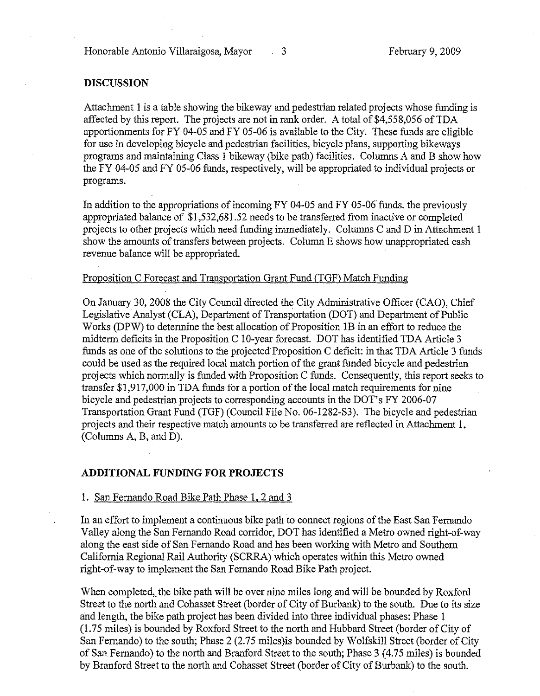Honorable Antonio Villaraigosa, Mayor 3 February 9, 2009

#### **DISCUSSION**

Attachment 1 is a table showing the bikeway and pedestrian related projects whose funding is affected by this report. The projects are not in rank order. A total of \$4,558,056 of TDA apportionments for FY 04-05 and FY 05-06 is available to the City. These funds are eligible for use in developing bicycle and pedestrian facilities, bicycle plans, supporting bikeways programs and maintaining Class 1 bikeway (bike path) facilities. Columns A and B show how the FY 04-05 and FY 05-06 funds, respectively, will be appropriated to individual projects or programs.

In addition to the appropriations of incoming FY 04-05 and FY 05-06 funds, the previously appropriated balance of \$1,532,681.52 needs to be transferred from inactive or completed projects to other projects which need funding immediately. Columns C and D in Attachment 1 show the amounts of transfers between projects. Column E shows how unappropriated cash revenue balance will be appropriated.

#### Proposition C Forecast and Transportation Grant Fund (TGF) Match Funding

On January 30, 2008 the City Council directed the City Administrative Officer (CAO), Chief Legislative Analyst (CLA), Department of Transportation (DOT) and Department of Public Works (DPW) to determine the best allocation of Proposition IB in an effort to reduce the midterm deficits in the Proposition C 10-year forecast. DOT has identified TDA Article 3 funds as one of the solutions to the projected Proposition C deficit: in that TDA Article 3 funds could be used as the required local match portion of the grant funded bicycle and pedestrian projects which normally is funded with Proposition C funds. Consequently, this report seeks to transfer \$1,917,000 in TDA funds for a portion of the local match requirements for nine bicycle and pedestrian projects to corresponding accounts in the DOT's FY 2006-07 Transportation Grant Fund (TGF) (Council File No. 06-1282-S3). The bicycle and pedestrian projects and their respective match amounts to be transferred are reflected in Attachment 1, (Columns A, B, and D).

#### **ADDITIONAL FUNDING FOR PROJECTS**

#### 1. San Fernando Road Bike Path Phase 1, 2 and 3

In an effort to implement a continuous bike path to connect regions of the East San Fernando Valley along the San Fernando Road corridor, DOT has identified a Metro owned right-of-way along the east side of San Fernando Road and has been working with Metro and Southern California Regional Rail Authority (SCRRA) which operates within this Metro owned right-of-way to implement the San Fernando Road Bike Path project.

When completed, the bike path will be over nine miles long and will be bounded by Roxford Street to the north and Cohasset Street (border of City of Burbank) to the south. Due to its size and length, the bike path project has been divided into three individual phases: Phase 1 (1.75 miles) is bounded by Roxford Street to the north and Hubbard Street (border of City of San Fernando) to the south; Phase 2 (2.75 miles)is bounded by Wolfskill Street (border of City of San Fernando) to the north and Branford Street to the south; Phase 3 (4.75 miles) is bounded by Branford Street to the north and Cohasset Street (border of City of Burbank) to the south.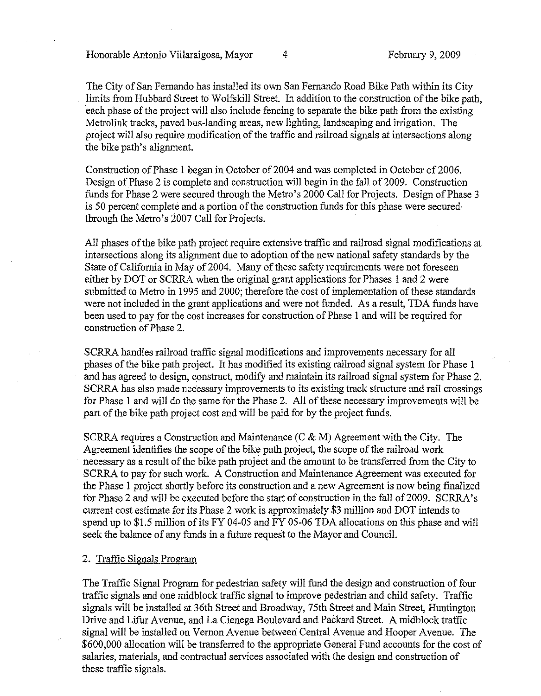Honorable Antonio Villaraigosa, Mayor 4 February 9, 2009

The City of San Fernando has installed its own San Fernando Road Bike Path within its City limits from Hubbard Street to Wolfskill Street. In addition to the construction of the bike path, each phase of the project will also include fencing to separate the bike path from the existing Metrolink tracks, paved bus-landing areas, new lighting, landscaping and irrigation. The project will also require modification of the traffic and railroad signals at intersections along the bike path's alignment.

Construction of Phase 1 began in October of 2004 and was completed in October of 2006. Design of Phase 2 is complete and construction will begin in the fall of 2009. Construction funds for Phase 2 were secured through the Metro's 2000 Call for Projects. Design of Phase 3 is 50 percent complete and a portion of the construction funds for this phase were secured through the Metro's 2007 Call for Projects.

All phases of the bike path project require extensive traffic and railroad signal modifications at intersections along its alignment due to adoption of the new national safety standards by the State of California in May of 2004. Many of these safety requirements were not foreseen either by DOT or SCRRA when the original grant applications for Phases 1 and 2 were submitted to Metro in 1995 and 2000; therefore the cost of implementation of these standards were not included in the grant applications and were not funded. As a result, TDA funds have been used to pay for the cost increases for construction of Phase 1 and will be required for construction of Phase 2.

SCRRA handles railroad traffic signal modifications and improvements necessary for all phases of the bike path project. It has modified its existing railroad signal system for Phase I and has agreed to design, construct, modify and maintain its railroad signal system for Phase 2. SCRRA has also made necessary improvements to its existing track structure and rail crossings for Phase 1 and will do the same for the Phase 2. All of these necessary improvements will be part of the bike path project cost and will be paid for by the project funds.

SCRRA requires a Construction and Maintenance (C & M) Agreement with the City. The Agreement identifies the scope of the bike path project, the scope of the railroad work necessary as a result of the bike path project and the amount to be transferred from the City to SCRRA to pay for such work. A Construction and Maintenance Agreement was executed for the Phase 1 project shortly before its construction and a new Agreement is now being fmalized for Phase 2 and will be executed before the start of construction in the fall of 2009. SCRRA's current cost estimate for its Phase 2 work is approximately \$3 million and DOT intends to spend up to \$1.5 million of its FY 04-05 and FY 05-06 TDA allocations on this phase and will seek the balance of any funds in a future request to the Mayor and Council.

#### 2. Traffic Signals Program

The Traffic Signal Program for pedestrian safety will fund the design and construction of four traffic signals and one midblock traffic signal to improve pedestrian and child safety. Traffic signals will be installed at 36th Street and Broadway, 75th Street and Main Street, Huntington Drive and Lifur Avenue, and La Cienega Boulevard and Packard Street. A midblock traffic signal will be installed on Vernon Avenue between Central Avenue and Hooper Avenue. The \$600,000 allocation will be transferred to the appropriate General Fund accounts for the cost of salaries, materials, and contractual services associated with the design and construction of these traffic signals.